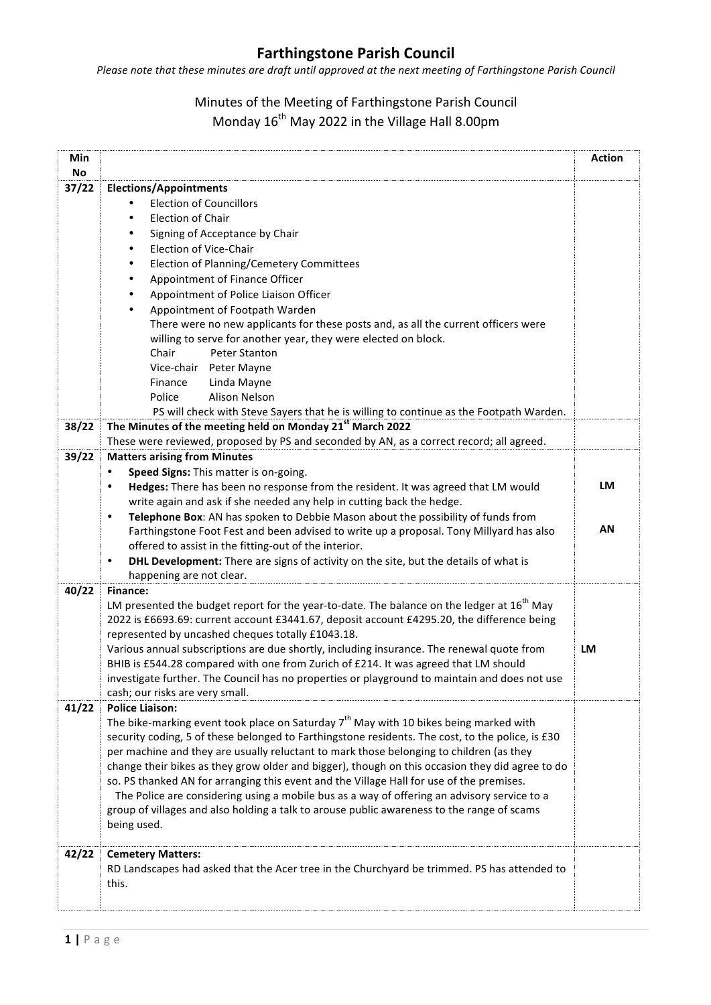## **Farthingstone Parish Council**

*Please note that these minutes are draft until approved at the next meeting of Farthingstone Parish Council* 

## Minutes of the Meeting of Farthingstone Parish Council Monday  $16^{th}$  May 2022 in the Village Hall 8.00pm

| Min<br>No |                                                                                                                                 | <b>Action</b> |
|-----------|---------------------------------------------------------------------------------------------------------------------------------|---------------|
| 37/22     | <b>Elections/Appointments</b>                                                                                                   |               |
|           | <b>Election of Councillors</b>                                                                                                  |               |
|           | <b>Election of Chair</b>                                                                                                        |               |
|           | Signing of Acceptance by Chair                                                                                                  |               |
|           | Election of Vice-Chair                                                                                                          |               |
|           | Election of Planning/Cemetery Committees                                                                                        |               |
|           | Appointment of Finance Officer                                                                                                  |               |
|           | Appointment of Police Liaison Officer                                                                                           |               |
|           | Appointment of Footpath Warden                                                                                                  |               |
|           | There were no new applicants for these posts and, as all the current officers were                                              |               |
|           | willing to serve for another year, they were elected on block.                                                                  |               |
|           | Chair<br>Peter Stanton                                                                                                          |               |
|           | Vice-chair<br>Peter Mayne                                                                                                       |               |
|           | Finance<br>Linda Mayne                                                                                                          |               |
|           | Police<br>Alison Nelson                                                                                                         |               |
|           | PS will check with Steve Sayers that he is willing to continue as the Footpath Warden.                                          |               |
| 38/22     | The Minutes of the meeting held on Monday 21st March 2022                                                                       |               |
| 39/22     | These were reviewed, proposed by PS and seconded by AN, as a correct record; all agreed.<br><b>Matters arising from Minutes</b> |               |
|           |                                                                                                                                 |               |
|           | Speed Signs: This matter is on-going.<br>Hedges: There has been no response from the resident. It was agreed that LM would      | LM            |
|           | write again and ask if she needed any help in cutting back the hedge.                                                           |               |
|           | Telephone Box: AN has spoken to Debbie Mason about the possibility of funds from                                                |               |
|           | Farthingstone Foot Fest and been advised to write up a proposal. Tony Millyard has also                                         | AN            |
|           | offered to assist in the fitting-out of the interior.                                                                           |               |
|           | DHL Development: There are signs of activity on the site, but the details of what is<br>$\bullet$                               |               |
|           | happening are not clear.                                                                                                        |               |
| 40/22     | <b>Finance:</b>                                                                                                                 |               |
|           | LM presented the budget report for the year-to-date. The balance on the ledger at 16 <sup>th</sup> May                          |               |
|           | 2022 is £6693.69: current account £3441.67, deposit account £4295.20, the difference being                                      |               |
|           | represented by uncashed cheques totally £1043.18.                                                                               |               |
|           | Various annual subscriptions are due shortly, including insurance. The renewal quote from                                       | LM            |
|           | BHIB is £544.28 compared with one from Zurich of £214. It was agreed that LM should                                             |               |
|           | investigate further. The Council has no properties or playground to maintain and does not use                                   |               |
| 41/22     | cash; our risks are very small.<br><b>Police Liaison:</b>                                                                       |               |
|           | The bike-marking event took place on Saturday $7th$ May with 10 bikes being marked with                                         |               |
|           | security coding, 5 of these belonged to Farthingstone residents. The cost, to the police, is £30                                |               |
|           | per machine and they are usually reluctant to mark those belonging to children (as they                                         |               |
|           | change their bikes as they grow older and bigger), though on this occasion they did agree to do                                 |               |
|           | so. PS thanked AN for arranging this event and the Village Hall for use of the premises.                                        |               |
|           | The Police are considering using a mobile bus as a way of offering an advisory service to a                                     |               |
|           | group of villages and also holding a talk to arouse public awareness to the range of scams                                      |               |
|           | being used.                                                                                                                     |               |
|           |                                                                                                                                 |               |
| 42/22     | <b>Cemetery Matters:</b><br>RD Landscapes had asked that the Acer tree in the Churchyard be trimmed. PS has attended to         |               |
|           | this.                                                                                                                           |               |
|           |                                                                                                                                 |               |
|           |                                                                                                                                 |               |